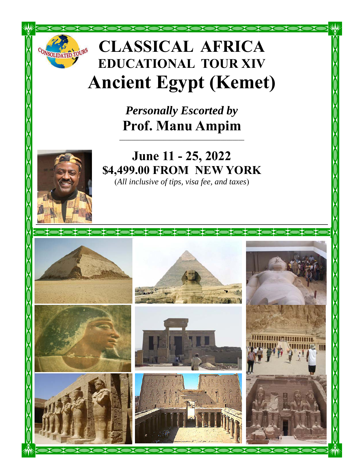# **CLASSICAL AFRICA EDUCATIONAL TOUR XIV Ancient Egypt (Kemet)**

*Personally Escorted by*  **Prof. Manu Ampim** 

**\_\_\_\_\_\_\_\_\_\_\_\_\_\_\_\_\_\_\_\_\_\_\_\_\_\_\_\_\_\_\_\_\_\_\_\_\_\_\_\_\_\_** 



ONSOLIDATED TOURS

# **June 11 - 25, 2022 \$4,499.00 FROM NEW YORK**

(*All inclusive of tips, visa fee, and taxes*)

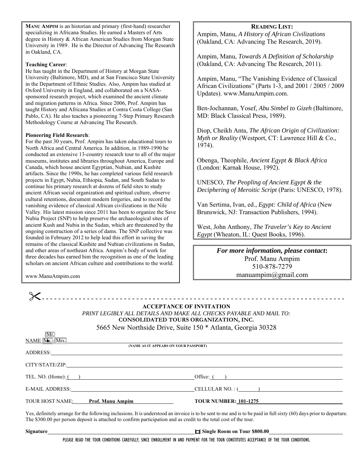**MANU AMPIM** is an historian and primary (first-hand) researcher specializing in Africana Studies. He earned a Masters of Arts degree in History & African American Studies from Morgan State University in 1989. He is the Director of Advancing The Research in Oakland, CA.

#### **Teaching Career**:

He has taught in the Department of History at Morgan State University (Baltimore, MD), and at San Francisco State University in the Department of Ethnic Studies. Also, Ampim has studied at Oxford University in England, and collaborated on a NASAsponsored research project, which examined the ancient climate and migration patterns in Africa. Since 2006, Prof. Ampim has taught History and Africana Studies at Contra Costa College (San Pablo, CA). He also teaches a pioneering 7-Step Primary Research Methodology Course at Advancing The Research.

#### **Pioneering Field Research**:

For the past 30 years, Prof. Ampim has taken educational tours to North Africa and Central America. In addition, in 1989-1990 he conducted an extensive 13-country research tour to all of the major museums, institutes and libraries throughout America, Europe and Canada, which house ancient Egyptian, Nubian, and Kushite artifacts. Since the 1990s, he has completed various field research projects in Egypt, Nubia, Ethiopia, Sudan, and South Sudan to continue his primary research at dozens of field sites to study ancient African social organization and spiritual culture, observe cultural retentions, document modern forgeries, and to record the vanishing evidence of classical African civilizations in the Nile Valley. His latest mission since 2011 has been to organize the Save Nubia Project (SNP) to help preserve the archaeological sites of ancient Kush and Nubia in the Sudan, which are threatened by the ongoing construction of a series of dams. The SNP collective was founded in February 2012 to help lead this effort in saving the remains of the classical Kushite and Nubian civilizations in Sudan, and other areas of northeast Africa. Ampim's body of work for three decades has earned him the recognition as one of the leading scholars on ancient African culture and contributions to the world.

#### **READING LIST:**

Ampim, Manu, *A History of African Civilizations* (Oakland, CA: Advancing The Research, 2019).

Ampim, Manu, *Towards A Definition of Scholarship* (Oakland, CA: Advancing The Research, 2011).

Ampim, Manu, "The Vanishing Evidence of Classical African Civilizations" (Parts 1-3, and 2001 / 2005 / 2009 Updates). www.ManuAmpim.com.

Ben-Jochannan, Yosef, *Abu Simbel to Gizeh* (Baltimore, MD: Black Classical Press, 1989).

Diop, Cheikh Anta, *The African Origin of Civilization: Myth or Reality* (Westport, CT: Lawrence Hill & Co., 1974).

Obenga, Theophile, *Ancient Egypt & Black Africa* (London: Karnak House, 1992).

UNESCO, *The Peopling of Ancient Egypt & the Deciphering of Meroitic Script* (Paris: UNESCO, 1978).

Van Sertima, Ivan, ed., *Egypt: Child of Africa* (New Brunswick, NJ: Transaction Publishers, 1994).

West, John Anthony, *The Traveler's Key to Ancient Egypt* (Wheaton, IL: Quest Books, 1996).

> *For more information, please contact***:**  Prof. Manu Ampim 510-878-7279 manuampim@gmail.com

www.ManuAmpim.com

- - - - - - - - - - - - - - - - - - - - - - - - - - - - - - - - - - - - - - - - - - - - - - - - - - - - - - - - - - - - - - - - - - - - - - - - - -

**ACCEPTANCE OF INVITATION**  *PRINT LEGIBLY ALL DETAILS AND MAKE ALL CHECKS PAYABLE AND MAIL TO:*  **CONSOLIDATED TOURS ORGANIZATION, INC.** 

5665 New Northside Drive, Suite 150 \* Atlanta, Georgia 30328

| Mr.                                                                                                                                                                                                                            |                              |
|--------------------------------------------------------------------------------------------------------------------------------------------------------------------------------------------------------------------------------|------------------------------|
| $\frac{\text{NAME}}{\text{Ms}}$ $\sqrt{\text{Mrs.}}$<br>(NAME AS IT APPEARS ON YOUR PASSPORT)                                                                                                                                  |                              |
| ADDRESS: Note and the contract of the contract of the contract of the contract of the contract of the contract of the contract of the contract of the contract of the contract of the contract of the contract of the contract |                              |
|                                                                                                                                                                                                                                |                              |
| TEL. NO. $(Home):$ $($                                                                                                                                                                                                         | Office: $($ )                |
| E-MAIL ADDRESS: Particular and the contract of the contract of the contract of the contract of the contract of the contract of the contract of the contract of the contract of the contract of the contract of the contract of | CELLULAR NO. : (             |
| TOUR HOST NAME:<br><b>Prof. Manu Ampim</b>                                                                                                                                                                                     | <b>TOUR NUMBER: 101-1275</b> |

Yes, definitely arrange for the following inclusions. It is understood an invoice is to be sent to me and is to be paid in full sixty (60) days prior to departure. The \$300.00 per person deposit is attached to confirm participation and as credit to the total cost of the tour.

**Signature** *contract and the state of the state of Single Room on Tour \$800.00* 

PLEASE READ THE TOUR CONDITIONS CAREFULLY, SINCE ENROLLMENT IN AND PAYMENT FOR THE TOUR CONSTITUTES ACCEPTANCE OF THE TOUR CONDITIONS.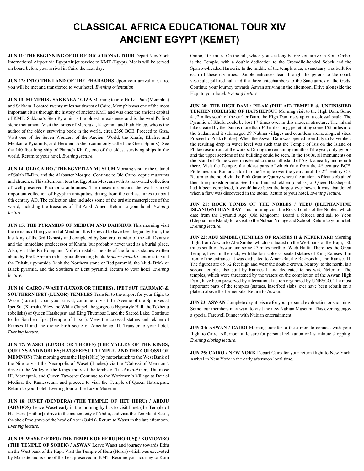## **CLASSICAL AFRICA EDUCATIONAL TOUR XIV ANCIENT EGYPT (KEMET)**

**JUN 11: THE BEGINNING OF OUR EDUCATIONAL TOUR** Depart New York International Airport via EgyptAir jet service to KMT (Egypt). Meals will be served on board before your arrival in Cairo the next day.

**JUN 12: INTO THE LAND OF THE PHARAOHS** Upon your arrival in Cairo, you will be met and transferred to your hotel. *Evening orientation*.

**JUN 13: MEMPHIS / SAKKARA / GIZA** Morning tour to Hi-Ku-Ptah (Memphis) and Sakkara. Located twenty miles southwest of Cairo, Memphis was one of the most important cities through the history of ancient KMT and was once the ancient capital of KMT. Sakkara's Step Pyramid is the oldest in existence and is the world's first stone monument. Visit the tombs of Mereruka, Kagemni, and Ptah Hotep, who is the author of the oldest surviving book in the world, circa 2350 BCE. Proceed to Giza. Visit one of the Seven Wonders of the Ancient World, the Khufu, Khafre, and Menkaura Pyramids, and Heru-em-Akhet (commonly called the Great Sphinx). See the 140 foot long ship of Pharaoh Khufu, one of the oldest surviving ships in the world. Return to your hotel. *Evening lecture.* 

**JUN 14: OLD CAIRO / THE EGYPTIAN MUSEUM** Morning visit to the Citadel of Salah El-Din, and the Alabaster Mosque. Continue to Old Cairo: coptic museums and churches. This afternoon, tour the Egyptian Museum with its renowned collection of well-preserved Pharaonic antiquities. The museum contains the world's most important collection of Egyptian antiquities, dating from the earliest times to about 6th century AD. The collection also includes some of the artistic masterpieces of the world, including the treasures of Tut-Ankh-Amen. Return to your hotel. *Evening lecture.* 

**JUN 15: THE PYRAMIDS OF MEIDUM AND DAHSHUR** This morning visit the remains of the pyramid at Meidum, It is believed to have been begun by Huni, the last king of the 3rd Dynasty and completed by Sneferu founder of the 4th Dynasty and the immediate predecessor of Khufu, but probably never used as a burial place. Also, visit the Ra-Hotep and Nofret mastaba, the site of the famous statues written about by Prof. Ampim in his groundbreaking book, *Modern Fraud.* Continue to visit the Dahshur pyramids. Visit the Northern stone or Red pyramid, the Mud- Brick or Black pyramid, and the Southern or Bent pyramid. Return to your hotel. *Evening lecture.* 

**JUN 16: CAIRO / WASET (LUXOR OR THEBES) / IPET SUT (KARNAK) & SOUTHERN IPET (LUXOR) TEMPLES** Transfer to the airport for your flight to Waset (Luxor). Upon your arrival, continue to visit the Avenue of the Sphinxes at Ipet Sut (Karnak). View the White Chapel, the gorgeous Hypostyle Hall, the Tekhenu (obelisks) of Queen Hatshepsut and King Thutmose I, and the Sacred Lake. Continue to the Southern Ipet (Temple of Luxor). View the colossal statues and tekhen of Ramses II and the divine birth scene of Amenhotep III. Transfer to your hotel. *Evening lecture*.

**JUN 17: WASET (LUXOR OR THEBES) (THE VALLEY OF THE KINGS, QUEENS AND NOBLES; HATSHEPSUT TEMPLE, AND THE COLOSSI OF MEMNON)** This morning cross the Hapi (Nile) by motorlaunch to the West Bank of the Nile to visit the Necropolis of Waset (T'hebes) via the "Colossi of Memnon"; drive to the Valley of the Kings and visit the tombs of Tut-Ankh-Amen, Thutmose III, Merneptah, and Queen Tawosret Continue to the Workmen's Village at Deir el Medina, the Ramesseum, and proceed to visit the Temple of Queen Hatshepsut. Return to your hotel. Evening tour of the Luxor Museum.

**JUN 18**: **IUNET (DENDERA) (THE TEMPLE OF HET HERU) / ABDJU (ABYDOS)** Leave Waset early in the morning by bus to visit Iunet (the Temple of Het Heru [Hathor]), drive to the ancient city of Abdju, and visit the Temple of Seti I, the site of the grave of the head of Asar (Osiris). Return to Waset in the late afternoon. *Evening lecture*.

**JUN 19: WASET / EDFU (THE TEMPLE OF HERU [HORUS]) / KOM OMBO (THE TEMPLE OF SOBEK) / ASWAN** Leave Waset and journey towards Edfu on the West bank of the Hapi. Visit the Temple of Heru (Horus) which was excavated by Mariette and is one of the best preserved in KMT. Resume your journey to Kom

Ombo, 103 miles. On the hill, which you see long before you arrive in Kom Ombo, is the Temple, with a double dedication to the Crocodile-headed Sobek and the Sparrow-headed Haroeris. In the middle of the temple area, a sanctuary was built for each of these divinities. Double entrances lead through the pylons to the court, vestibule, pillared hall and the three antechambers to the Sanctuaries of the Gods. Continue your journey towards Aswan arriving in the afternoon. Drive alongside the Hapi to your hotel*. Evening lecture*.

**JUN 20: THE HIGH DAM / PILAK (PHILAE) TEMPLE & UNFINISHED TEKHEN (OBELISK) OF HATSHEPSUT** Morning visit to the High Dam. Some 4 1∕2 miles south of the earlier Dam, the High Dam rises up on a colossal scale. The Pyramid of Khufu could be lost 17 times over in this modern structure. The inland lake created by the Dam is more than 340 miles long, penetrating some 155 miles into the Sudan, and it submerged 39 Nubian villages and countless archaeological sites. Proceed to Pilak (Philae). When the Aswan Dam was opened from July to November, the resulting drop in water level was such that the Temple of Isis on the Island of Philae rose up out of the waters. During the remaining months of the year, only pylons and the upper sections of the building could be seen. In the 1960s, all monuments on the Island of Philae were transferred to the small island of Agilkia nearby and rebuilt there. Visit the Temple, the oldest parts of which date from the 4<sup>th</sup> century BCE. Ptolemies and Romans added to the Temple over the years until the 2<sup>nd</sup> century CE. Return to the hotel via the Pink Granite Quarry where the ancient Africans obtained their fine pinkish granite. See the unfinished tekhen (obelisk) of Queen Hatshepsut, had it been completed, it would have been the largest ever hewn. It was abandoned when a flaw was discovered in the stone. Return to your hotel. *Evening lecture.* 

**JUN 21: ROCK TOMBS OF THE NOBLES / YEBU (ELEPHANTINE ISLAND)/NUBIAN DAY** This morning visit the Rock Tombs of the Nobles, which date from the Pyramid Age (Old Kingdom). Board a felucca and sail to Yebu (Elephantine Island) for a visit to the Nubian Village and School. Return to your hotel. *Evening lecture.* 

**JUN 22: ABU SIMBEL (TEMPLES OF RAMSES II & NEFERTARI)** Morning flight from Aswan to Abu Simbel which is situated on the West bank of the Hapi, 180 miles south of Aswan and some 27 miles north of Wadi Halfa. There lies the Great Temple, hewn in the rock, with the four colossal seated statues of King Ramses II in front of the entrance. It was dedicated to Amen-Ra, the Re-Horkhti, and Ramses II. The figures are 65 1∕2 feet high and wear the double crown. Nearby, to the north, is a second temple, also built by Ramses II and dedicated to his wife Nefertari. The temples, which were threatened by the waters on the completion of the Aswan High Dam, have been preserved by international action organized by UNESCO. The most important parts of the temples (statues, inscribed slabs, etc) have been rebuilt on a plateau above the former site. Return to Aswan.

**JUN 23: ASWAN** Complete day at leisure for your personal exploration or shopping. Some tour members may want to visit the new Nubian Museum. This evening enjoy a special Farewell Dinner with Nubian entertainment.

**JUN 24: ASWAN / CAIRO** Morning transfer to the airport to connect with your flight to Cairo. Afternoon at leisure for personal relaxation or last minute shopping. *Evening closing lecture*.

**JUN 25: CAIRO / NEW YORK** Depart Cairo for your return flight to New York. Arrival in New York in the early afternoon local time.